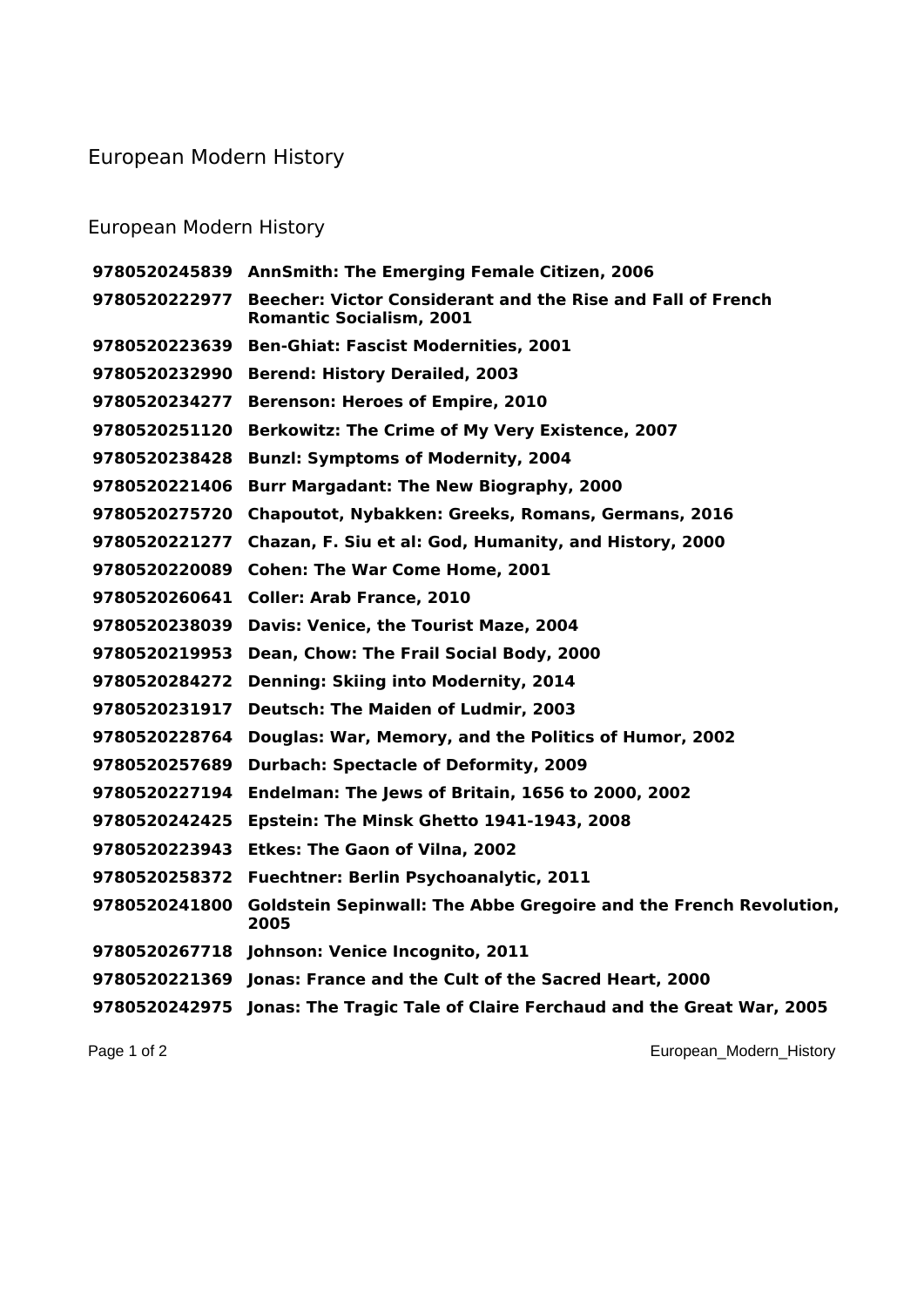## European Modern History

## European Modern History

| 9780520245839 | <b>AnnSmith: The Emerging Female Citizen, 2006</b>                                             |
|---------------|------------------------------------------------------------------------------------------------|
| 9780520222977 | Beecher: Victor Considerant and the Rise and Fall of French<br><b>Romantic Socialism, 2001</b> |
| 9780520223639 | <b>Ben-Ghiat: Fascist Modernities, 2001</b>                                                    |
| 9780520232990 | <b>Berend: History Derailed, 2003</b>                                                          |
| 9780520234277 | <b>Berenson: Heroes of Empire, 2010</b>                                                        |
| 9780520251120 | Berkowitz: The Crime of My Very Existence, 2007                                                |
| 9780520238428 | <b>Bunzl: Symptoms of Modernity, 2004</b>                                                      |
| 9780520221406 | <b>Burr Margadant: The New Biography, 2000</b>                                                 |
| 9780520275720 | Chapoutot, Nybakken: Greeks, Romans, Germans, 2016                                             |
| 9780520221277 | Chazan, F. Siu et al: God, Humanity, and History, 2000                                         |
| 9780520220089 | <b>Cohen: The War Come Home, 2001</b>                                                          |
|               | 9780520260641 Coller: Arab France, 2010                                                        |
| 9780520238039 | Davis: Venice, the Tourist Maze, 2004                                                          |
| 9780520219953 | Dean, Chow: The Frail Social Body, 2000                                                        |
| 9780520284272 | <b>Denning: Skiing into Modernity, 2014</b>                                                    |
| 9780520231917 | Deutsch: The Maiden of Ludmir, 2003                                                            |
| 9780520228764 | Douglas: War, Memory, and the Politics of Humor, 2002                                          |
| 9780520257689 | <b>Durbach: Spectacle of Deformity, 2009</b>                                                   |
| 9780520227194 | Endelman: The Jews of Britain, 1656 to 2000, 2002                                              |
| 9780520242425 | Epstein: The Minsk Ghetto 1941-1943, 2008                                                      |
| 9780520223943 | <b>Etkes: The Gaon of Vilna, 2002</b>                                                          |
| 9780520258372 | <b>Fuechtner: Berlin Psychoanalytic, 2011</b>                                                  |
| 9780520241800 | <b>Goldstein Sepinwall: The Abbe Gregoire and the French Revolution,</b><br>2005               |
|               | 9780520267718 Johnson: Venice Incognito, 2011                                                  |
|               | 9780520221369 Jonas: France and the Cult of the Sacred Heart, 2000                             |
|               | 9780520242975 Jonas: The Tragic Tale of Claire Ferchaud and the Great War, 2005                |
|               |                                                                                                |

Page 1 of 2 **Page 1 of 2** European\_Modern\_History